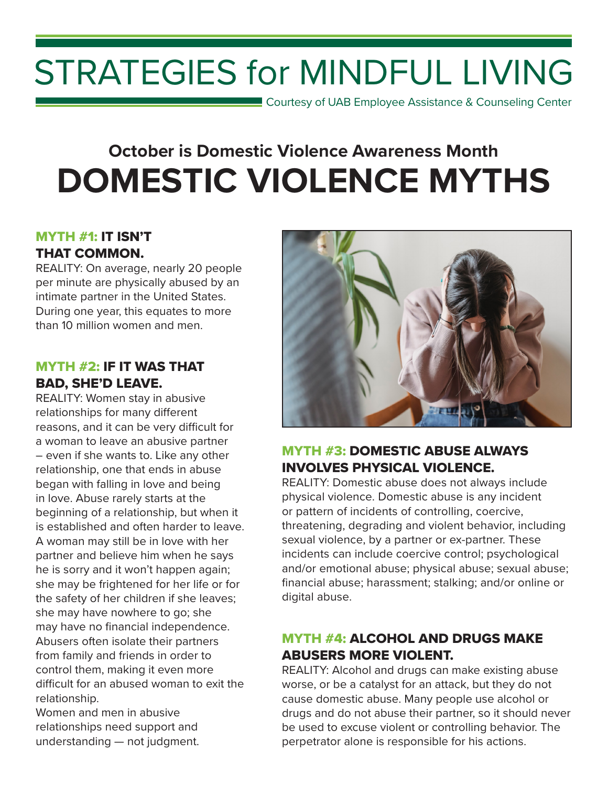# STRATEGIES for MINDFUL LIVING

**Courtesy of UAB Employee Assistance & Counseling Center** 

# **October is Domestic Violence Awareness Month DOMESTIC VIOLENCE MYTHS**

#### MYTH #1: IT ISN'T THAT COMMON.

REALITY: On average, nearly 20 people per minute are physically abused by an intimate partner in the United States. During one year, this equates to more than 10 million women and men.

#### MYTH #2: IF IT WAS THAT BAD, SHE'D LEAVE.

REALITY: Women stay in abusive relationships for many different reasons, and it can be very difficult for a woman to leave an abusive partner – even if she wants to. Like any other relationship, one that ends in abuse began with falling in love and being in love. Abuse rarely starts at the beginning of a relationship, but when it is established and often harder to leave. A woman may still be in love with her partner and believe him when he says he is sorry and it won't happen again; she may be frightened for her life or for the safety of her children if she leaves; she may have nowhere to go; she may have no financial independence. Abusers often isolate their partners from family and friends in order to control them, making it even more difficult for an abused woman to exit the relationship.

Women and men in abusive relationships need support and understanding — not judgment.



# MYTH #3: DOMESTIC ABUSE ALWAYS INVOLVES PHYSICAL VIOLENCE.

REALITY: Domestic abuse does not always include physical violence. Domestic abuse is any incident or pattern of incidents of controlling, coercive, threatening, degrading and violent behavior, including sexual violence, by a partner or ex-partner. These incidents can include coercive control; psychological and/or emotional abuse; physical abuse; sexual abuse; financial abuse; harassment; stalking; and/or online or digital abuse.

# MYTH #4: ALCOHOL AND DRUGS MAKE ABUSERS MORE VIOLENT.

REALITY: Alcohol and drugs can make existing abuse worse, or be a catalyst for an attack, but they do not cause domestic abuse. Many people use alcohol or drugs and do not abuse their partner, so it should never be used to excuse violent or controlling behavior. The perpetrator alone is responsible for his actions.